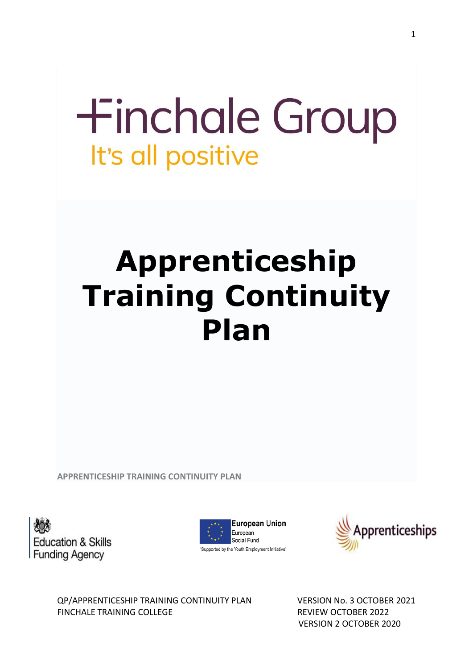# **+inchale Group** It's all positive

# **Apprenticeship Training Continuity Plan**

**APPRENTICESHIP TRAINING CONTINUITY PLAN**

**Education & Skills** Funding Agency





QP/APPRENTICESHIP TRAINING CONTINUITY PLAN VERSION No. 3 OCTOBER 2021 FINCHALE TRAINING COLLEGE **REVIEW OCTOBER 2022**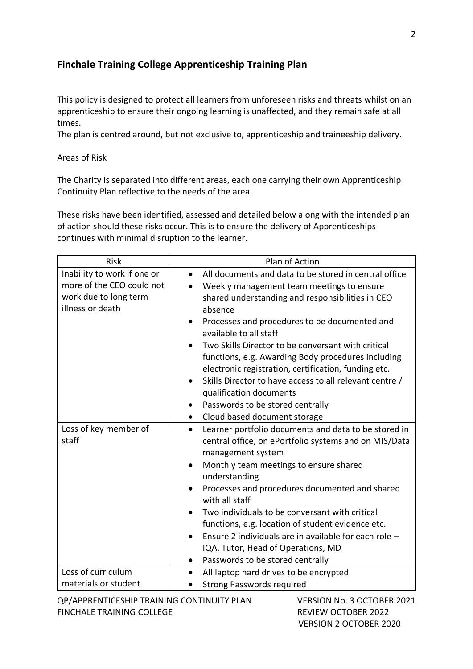## **Finchale Training College Apprenticeship Training Plan**

This policy is designed to protect all learners from unforeseen risks and threats whilst on an apprenticeship to ensure their ongoing learning is unaffected, and they remain safe at all times.

The plan is centred around, but not exclusive to, apprenticeship and traineeship delivery.

### Areas of Risk

The Charity is separated into different areas, each one carrying their own Apprenticeship Continuity Plan reflective to the needs of the area.

These risks have been identified, assessed and detailed below along with the intended plan of action should these risks occur. This is to ensure the delivery of Apprenticeships continues with minimal disruption to the learner.

| <b>Risk</b>                                                                                           | Plan of Action                                                                                                                                                                                                                                                                                                                                                                                                                                                                                                                                                                    |
|-------------------------------------------------------------------------------------------------------|-----------------------------------------------------------------------------------------------------------------------------------------------------------------------------------------------------------------------------------------------------------------------------------------------------------------------------------------------------------------------------------------------------------------------------------------------------------------------------------------------------------------------------------------------------------------------------------|
| Inability to work if one or<br>more of the CEO could not<br>work due to long term<br>illness or death | All documents and data to be stored in central office<br>$\bullet$<br>Weekly management team meetings to ensure<br>shared understanding and responsibilities in CEO<br>absence<br>Processes and procedures to be documented and<br>$\bullet$<br>available to all staff<br>Two Skills Director to be conversant with critical<br>functions, e.g. Awarding Body procedures including<br>electronic registration, certification, funding etc.<br>Skills Director to have access to all relevant centre /<br>qualification documents<br>Passwords to be stored centrally<br>$\bullet$ |
|                                                                                                       | Cloud based document storage                                                                                                                                                                                                                                                                                                                                                                                                                                                                                                                                                      |
| Loss of key member of<br>staff                                                                        | Learner portfolio documents and data to be stored in<br>$\bullet$<br>central office, on ePortfolio systems and on MIS/Data<br>management system<br>Monthly team meetings to ensure shared<br>understanding<br>Processes and procedures documented and shared<br>with all staff<br>Two individuals to be conversant with critical<br>functions, e.g. location of student evidence etc.<br>Ensure 2 individuals are in available for each role -<br>IQA, Tutor, Head of Operations, MD<br>Passwords to be stored centrally                                                          |
| Loss of curriculum<br>materials or student                                                            | All laptop hard drives to be encrypted<br><b>Strong Passwords required</b>                                                                                                                                                                                                                                                                                                                                                                                                                                                                                                        |

QP/APPRENTICESHIP TRAINING CONTINUITY PLAN VERSION No. 3 OCTOBER 2021 FINCHALE TRAINING COLLEGE **REVIEW OCTOBER 2022**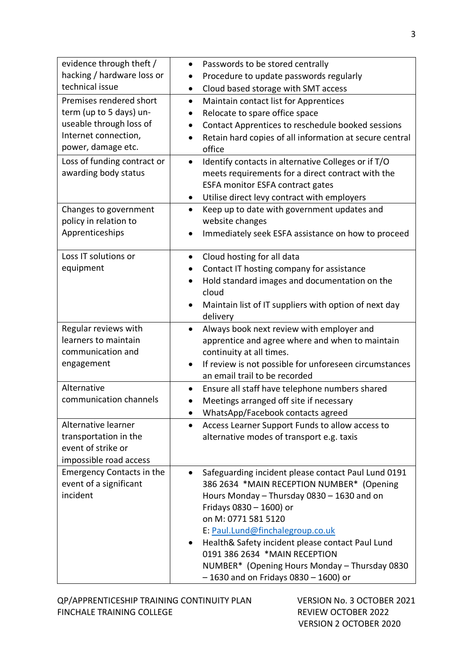| evidence through theft /<br>hacking / hardware loss or<br>technical issue                                                   | Passwords to be stored centrally<br>$\bullet$<br>Procedure to update passwords regularly<br>Cloud based storage with SMT access<br>$\bullet$                                                                                                                                                                                                                                                                         |
|-----------------------------------------------------------------------------------------------------------------------------|----------------------------------------------------------------------------------------------------------------------------------------------------------------------------------------------------------------------------------------------------------------------------------------------------------------------------------------------------------------------------------------------------------------------|
| Premises rendered short<br>term (up to 5 days) un-<br>useable through loss of<br>Internet connection,<br>power, damage etc. | Maintain contact list for Apprentices<br>$\bullet$<br>Relocate to spare office space<br>$\bullet$<br>Contact Apprentices to reschedule booked sessions<br>$\bullet$<br>Retain hard copies of all information at secure central<br>office                                                                                                                                                                             |
| Loss of funding contract or<br>awarding body status                                                                         | Identify contacts in alternative Colleges or if T/O<br>meets requirements for a direct contract with the<br>ESFA monitor ESFA contract gates<br>Utilise direct levy contract with employers<br>$\bullet$                                                                                                                                                                                                             |
| Changes to government<br>policy in relation to<br>Apprenticeships                                                           | Keep up to date with government updates and<br>$\bullet$<br>website changes<br>Immediately seek ESFA assistance on how to proceed                                                                                                                                                                                                                                                                                    |
| Loss IT solutions or<br>equipment                                                                                           | Cloud hosting for all data<br>$\bullet$<br>Contact IT hosting company for assistance<br>Hold standard images and documentation on the<br>cloud<br>Maintain list of IT suppliers with option of next day<br>delivery                                                                                                                                                                                                  |
| Regular reviews with<br>learners to maintain<br>communication and<br>engagement                                             | Always book next review with employer and<br>$\bullet$<br>apprentice and agree where and when to maintain<br>continuity at all times.<br>If review is not possible for unforeseen circumstances<br>$\bullet$<br>an email trail to be recorded                                                                                                                                                                        |
| Alternative<br>communication channels                                                                                       | Ensure all staff have telephone numbers shared<br>$\bullet$<br>Meetings arranged off site if necessary<br>WhatsApp/Facebook contacts agreed                                                                                                                                                                                                                                                                          |
| Alternative learner<br>transportation in the<br>event of strike or<br>impossible road access                                | Access Learner Support Funds to allow access to<br>alternative modes of transport e.g. taxis                                                                                                                                                                                                                                                                                                                         |
| <b>Emergency Contacts in the</b><br>event of a significant<br>incident                                                      | Safeguarding incident please contact Paul Lund 0191<br>386 2634 *MAIN RECEPTION NUMBER* (Opening<br>Hours Monday - Thursday 0830 - 1630 and on<br>Fridays 0830 - 1600) or<br>on M: 0771 581 5120<br>E: Paul.Lund@finchalegroup.co.uk<br>Health& Safety incident please contact Paul Lund<br>0191 386 2634 *MAIN RECEPTION<br>NUMBER* (Opening Hours Monday - Thursday 0830<br>$-1630$ and on Fridays 0830 - 1600) or |

QP/APPRENTICESHIP TRAINING CONTINUITY PLAN VERSION No. 3 OCTOBER 2021 FINCHALE TRAINING COLLEGE **REVIEW OCTOBER 2022**